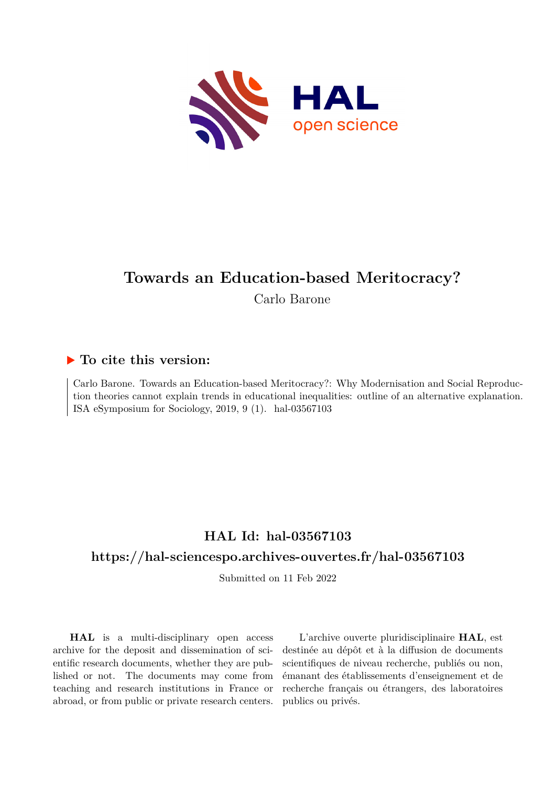

# **Towards an Education-based Meritocracy?**

Carlo Barone

### **To cite this version:**

Carlo Barone. Towards an Education-based Meritocracy?: Why Modernisation and Social Reproduction theories cannot explain trends in educational inequalities: outline of an alternative explanation. ISA eSymposium for Sociology,  $2019, 9(1)$ . hal-03567103

## **HAL Id: hal-03567103**

### **<https://hal-sciencespo.archives-ouvertes.fr/hal-03567103>**

Submitted on 11 Feb 2022

**HAL** is a multi-disciplinary open access archive for the deposit and dissemination of scientific research documents, whether they are published or not. The documents may come from teaching and research institutions in France or abroad, or from public or private research centers.

L'archive ouverte pluridisciplinaire **HAL**, est destinée au dépôt et à la diffusion de documents scientifiques de niveau recherche, publiés ou non, émanant des établissements d'enseignement et de recherche français ou étrangers, des laboratoires publics ou privés.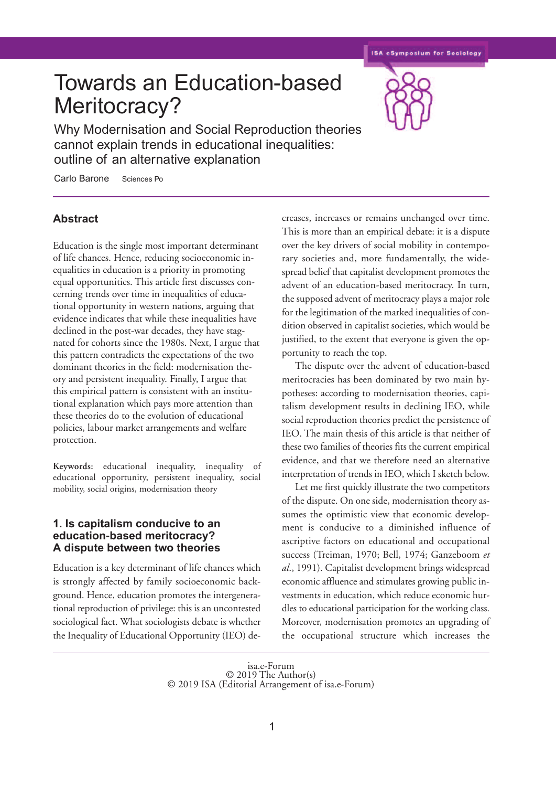**ISA eSymposium for Sociology** 

# Towards an Education-based Meritocracy?

Why Modernisation and Social Reproduction theories cannot explain trends in educational inequalities: outline of an alternative explanation

Carlo Barone Sciences Po

#### **Abstract**

Education is the single most important determinant of life chances. Hence, reducing socioeconomic inequalities in education is a priority in promoting equal opportunities. This article first discusses concerning trends over time in inequalities of educational opportunity in western nations, arguing that evidence indicates that while these inequalities have declined in the post-war decades, they have stagnated for cohorts since the 1980s. Next, I argue that this pattern contradicts the expectations of the two dominant theories in the field: modernisation theory and persistent inequality. Finally, I argue that this empirical pattern is consistent with an institutional explanation which pays more attention than these theories do to the evolution of educational policies, labour market arrangements and welfare protection.

**Keywords:** educational inequality, inequality of educational opportunity, persistent inequality, social mobility, social origins, modernisation theory

#### **1. Is capitalism conducive to an education-based meritocracy? A dispute between two theories**

Education is a key determinant of life chances which is strongly affected by family socioeconomic background. Hence, education promotes the intergenerational reproduction of privilege: this is an uncontested sociological fact. What sociologists debate is whether the Inequality of Educational Opportunity (IEO) decreases, increases or remains unchanged over time. This is more than an empirical debate: it is a dispute over the key drivers of social mobility in contemporary societies and, more fundamentally, the widespread belief that capitalist development promotes the advent of an education-based meritocracy. In turn, the supposed advent of meritocracy plays a major role for the legitimation of the marked inequalities of condition observed in capitalist societies, which would be justified, to the extent that everyone is given the opportunity to reach the top.

The dispute over the advent of education-based meritocracies has been dominated by two main hypotheses: according to modernisation theories, capitalism development results in declining IEO, while social reproduction theories predict the persistence of IEO. The main thesis of this article is that neither of these two families of theories fits the current empirical evidence, and that we therefore need an alternative interpretation of trends in IEO, which I sketch below.

Let me first quickly illustrate the two competitors of the dispute. On one side, modernisation theory assumes the optimistic view that economic development is conducive to a diminished influence of ascriptive factors on educational and occupational success (Treiman, 1970; Bell, 1974; Ganzeboom *et al*., 1991). Capitalist development brings widespread economic affluence and stimulates growing public investments in education, which reduce economic hurdles to educational participation for the working class. Moreover, modernisation promotes an upgrading of the occupational structure which increases the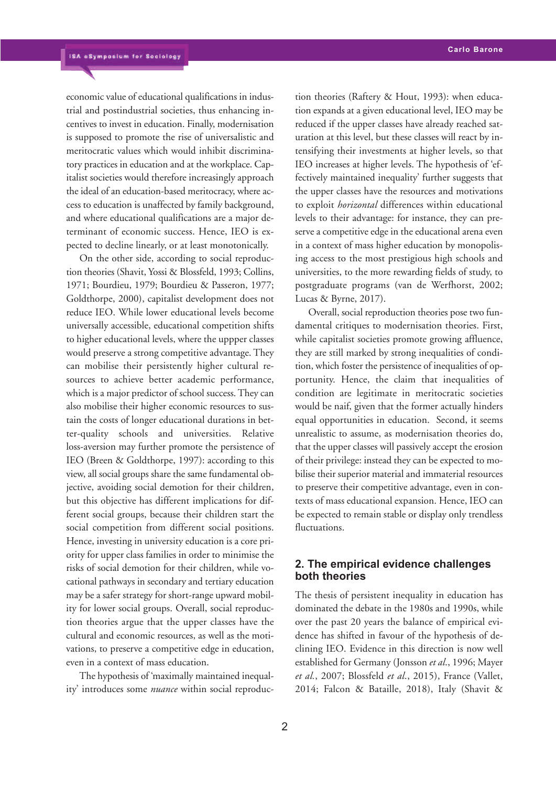economic value of educational qualifications in industrial and postindustrial societies, thus enhancing incentives to invest in education. Finally, modernisation is supposed to promote the rise of universalistic and meritocratic values which would inhibit discriminatory practices in education and at the workplace. Capitalist societies would therefore increasingly approach the ideal of an education-based meritocracy, where access to education is unaffected by family background, and where educational qualifications are a major determinant of economic success. Hence, IEO is expected to decline linearly, or at least monotonically.

On the other side, according to social reproduction theories (Shavit, Yossi & Blossfeld, 1993; Collins, 1971; Bourdieu, 1979; Bourdieu & Passeron, 1977; Goldthorpe, 2000), capitalist development does not reduce IEO. While lower educational levels become universally accessible, educational competition shifts to higher educational levels, where the uppper classes would preserve a strong competitive advantage. They can mobilise their persistently higher cultural resources to achieve better academic performance, which is a major predictor of school success.They can also mobilise their higher economic resources to sustain the costs of longer educational durations in better-quality schools and universities. Relative loss-aversion may further promote the persistence of IEO (Breen & Goldthorpe, 1997): according to this view, all social groups share the same fundamental objective, avoiding social demotion for their children, but this objective has different implications for different social groups, because their children start the social competition from different social positions. Hence, investing in university education is a core priority for upper class families in order to minimise the risks of social demotion for their children, while vocational pathways in secondary and tertiary education may be a safer strategy for short-range upward mobility for lower social groups. Overall, social reproduction theories argue that the upper classes have the cultural and economic resources, as well as the motivations, to preserve a competitive edge in education, even in a context of mass education.

The hypothesis of 'maximally maintained inequality' introduces some *nuance* within social reproduction theories (Raftery & Hout, 1993): when education expands at a given educational level, IEO may be reduced if the upper classes have already reached saturation at this level, but these classes will react by intensifying their investments at higher levels, so that IEO increases at higher levels. The hypothesis of 'effectively maintained inequality' further suggests that the upper classes have the resources and motivations to exploit *horizontal* differences within educational levels to their advantage: for instance, they can preserve a competitive edge in the educational arena even in a context of mass higher education by monopolising access to the most prestigious high schools and universities, to the more rewarding fields of study, to postgraduate programs (van de Werfhorst, 2002; Lucas & Byrne, 2017).

Overall, social reproduction theories pose two fundamental critiques to modernisation theories. First, while capitalist societies promote growing affluence, they are still marked by strong inequalities of condition, which foster the persistence of inequalities of opportunity. Hence, the claim that inequalities of condition are legitimate in meritocratic societies would be naif, given that the former actually hinders equal opportunities in education. Second, it seems unrealistic to assume, as modernisation theories do, that the upper classes will passively accept the erosion of their privilege: instead they can be expected to mobilise their superior material and immaterial resources to preserve their competitive advantage, even in contexts of mass educational expansion. Hence, IEO can be expected to remain stable or display only trendless fluctuations.

#### **2. The empirical evidence challenges both theories**

The thesis of persistent inequality in education has dominated the debate in the 1980s and 1990s, while over the past 20 years the balance of empirical evidence has shifted in favour of the hypothesis of declining IEO. Evidence in this direction is now well established for Germany (Jonsson *et al*., 1996; Mayer *et al.*, 2007; Blossfeld *et al*., 2015), France (Vallet, 2014; Falcon & Bataille, 2018), Italy (Shavit &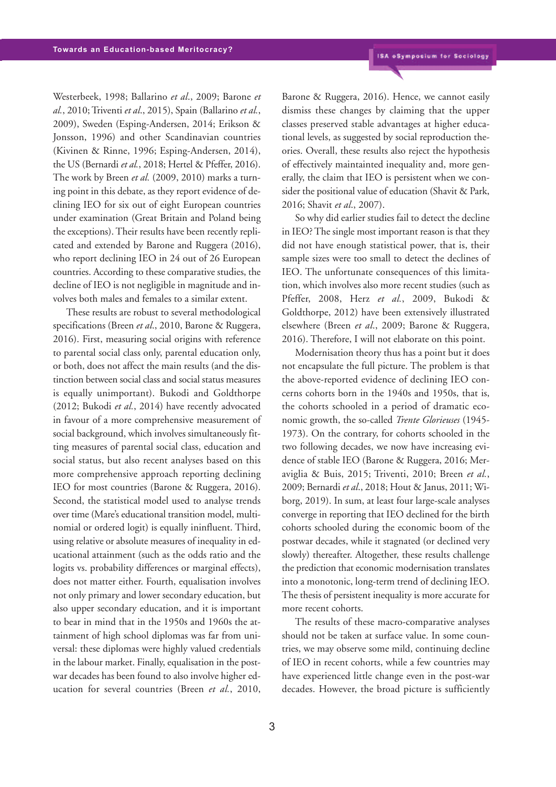Westerbeek, 1998; Ballarino *et al*., 2009; Barone *et al.*, 2010;Triventi *et al*., 2015), Spain (Ballarino *et al.*, 2009), Sweden (Esping-Andersen, 2014; Erikson & Jonsson, 1996) and other Scandinavian countries (Kivinen & Rinne, 1996; Esping-Andersen, 2014), the US (Bernardi *et al.*, 2018; Hertel & Pfeffer, 2016). The work by Breen *et al.* (2009, 2010) marks a turning point in this debate, as they report evidence of declining IEO for six out of eight European countries under examination (Great Britain and Poland being the exceptions).Their results have been recently replicated and extended by Barone and Ruggera (2016), who report declining IEO in 24 out of 26 European countries. According to these comparative studies, the decline of IEO is not negligible in magnitude and involves both males and females to a similar extent.

These results are robust to several methodological specifications (Breen *et al*., 2010, Barone & Ruggera, 2016). First, measuring social origins with reference to parental social class only, parental education only, or both, does not affect the main results (and the distinction between social class and social status measures is equally unimportant). Bukodi and Goldthorpe (2012; Bukodi *et al.*, 2014) have recently advocated in favour of a more comprehensive measurement of social background, which involves simultaneously fitting measures of parental social class, education and social status, but also recent analyses based on this more comprehensive approach reporting declining IEO for most countries (Barone & Ruggera, 2016). Second, the statistical model used to analyse trends over time (Mare's educational transition model, multinomial or ordered logit) is equally ininfluent. Third, using relative or absolute measures of inequality in educational attainment (such as the odds ratio and the logits vs. probability differences or marginal effects), does not matter either. Fourth, equalisation involves not only primary and lower secondary education, but also upper secondary education, and it is important to bear in mind that in the 1950s and 1960s the attainment of high school diplomas was far from universal: these diplomas were highly valued credentials in the labour market. Finally, equalisation in the postwar decades has been found to also involve higher education for several countries (Breen *et al.*, 2010,

Barone & Ruggera, 2016). Hence, we cannot easily dismiss these changes by claiming that the upper classes preserved stable advantages at higher educational levels, as suggested by social reproduction theories. Overall, these results also reject the hypothesis of effectively maintainted inequality and, more generally, the claim that IEO is persistent when we consider the positional value of education (Shavit & Park, 2016; Shavit *et al*., 2007).

So why did earlier studies fail to detect the decline in IEO?The single most important reason is that they did not have enough statistical power, that is, their sample sizes were too small to detect the declines of IEO. The unfortunate consequences of this limitation, which involves also more recent studies (such as Pfeffer, 2008, Herz *et al.*, 2009, Bukodi & Goldthorpe, 2012) have been extensively illustrated elsewhere (Breen *et al*., 2009; Barone & Ruggera, 2016). Therefore, I will not elaborate on this point.

Modernisation theory thus has a point but it does not encapsulate the full picture. The problem is that the above-reported evidence of declining IEO concerns cohorts born in the 1940s and 1950s, that is, the cohorts schooled in a period of dramatic economic growth, the so-called *Trente Glorieuses* (1945- 1973). On the contrary, for cohorts schooled in the two following decades, we now have increasing evidence of stable IEO (Barone & Ruggera, 2016; Meraviglia & Buis, 2015; Triventi, 2010; Breen *et al.*, 2009; Bernardi *et al*., 2018; Hout & Janus, 2011; Wiborg, 2019). In sum, at least four large-scale analyses converge in reporting that IEO declined for the birth cohorts schooled during the economic boom of the postwar decades, while it stagnated (or declined very slowly) thereafter. Altogether, these results challenge the prediction that economic modernisation translates into a monotonic, long-term trend of declining IEO. The thesis of persistent inequality is more accurate for more recent cohorts.

The results of these macro-comparative analyses should not be taken at surface value. In some countries, we may observe some mild, continuing decline of IEO in recent cohorts, while a few countries may have experienced little change even in the post-war decades. However, the broad picture is sufficiently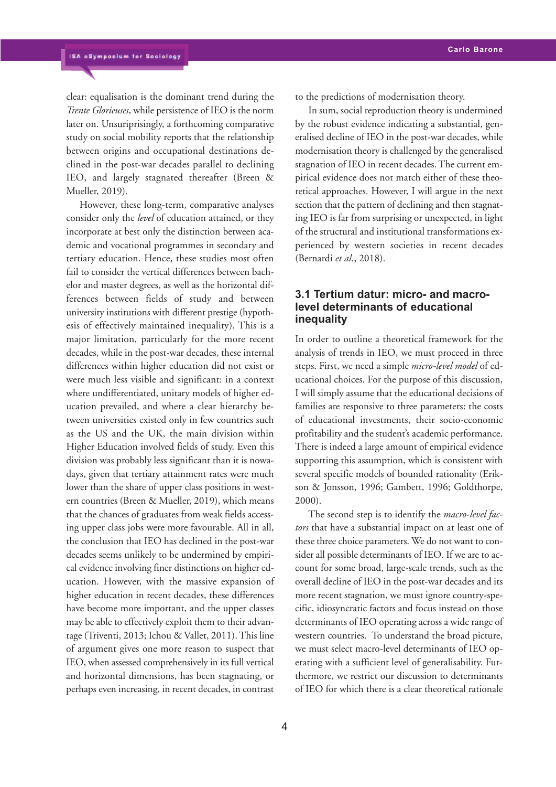clear: equalisation is the dominant trend during the *Trente Glorieuses*, while persistence of IEO is the norm later on. Unsuriprisingly, a forthcoming comparative study on social mobility reports that the relationship between origins and occupational destinations declined in the post-war decades parallel to declining IEO, and largely stagnated thereafter (Breen & Mueller, 2019).

However, these long-term, comparative analyses consider only the *level* of education attained, or they incorporate at best only the distinction between academic and vocational programmes in secondary and tertiary education. Hence, these studies most often fail to consider the vertical differences between bachelor and master degrees, as well as the horizontal differences between fields of study and between university institutions with different prestige (hypothesis of effectively maintained inequality). This is a major limitation, particularly for the more recent decades, while in the post-war decades, these internal differences within higher education did not exist or were much less visible and significant: in a context where undifferentiated, unitary models of higher education prevailed, and where a clear hierarchy between universities existed only in few countries such as the US and the UK, the main division within Higher Education involved fields of study. Even this division was probably less significant than it is nowadays, given that tertiary attainment rates were much lower than the share of upper class positions in western countries (Breen & Mueller, 2019), which means that the chances of graduates from weak fields accessing upper class jobs were more favourable. All in all, the conclusion that IEO has declined in the post-war decades seems unlikely to be undermined by empirical evidence involving finer distinctions on higher education. However, with the massive expansion of higher education in recent decades, these differences have become more important, and the upper classes may be able to effectively exploit them to their advantage (Triventi, 2013; Ichou & Vallet, 2011). This line of argument gives one more reason to suspect that IEO, when assessed comprehensively in its full vertical and horizontal dimensions, has been stagnating, or perhaps even increasing, in recent decades, in contrast

to the predictions of modernisation theory.

In sum, social reproduction theory is undermined by the robust evidence indicating a substantial, generalised decline of IEO in the post-war decades, while modernisation theory is challenged by the generalised stagnation of IEO in recent decades. The current empirical evidence does not match either of these theoretical approaches. However, I will argue in the next section that the pattern of declining and then stagnating IEO is far from surprising or unexpected, in light of the structural and institutional transformations experienced by western societies in recent decades (Bernardi *et al*., 2018).

#### **3.1 Tertium datur: micro- and macrolevel determinants of educational inequality**

In order to outline a theoretical framework for the analysis of trends in IEO, we must proceed in three steps. First, we need a simple *micro-level model* of educational choices. For the purpose of this discussion, I will simply assume that the educational decisions of families are responsive to three parameters: the costs of educational investments, their socio-economic profitability and the student's academic performance. There is indeed a large amount of empirical evidence supporting this assumption, which is consistent with several specific models of bounded rationality (Erikson & Jonsson, 1996; Gambett, 1996; Goldthorpe, 2000).

The second step is to identify the *macro-level factors* that have a substantial impact on at least one of these three choice parameters. We do not want to consider all possible determinants of IEO. If we are to account for some broad, large-scale trends, such as the overall decline of IEO in the post-war decades and its more recent stagnation, we must ignore country-specific, idiosyncratic factors and focus instead on those determinants of IEO operating across a wide range of western countries. To understand the broad picture, we must select macro-level determinants of IEO operating with a sufficient level of generalisability. Furthermore, we restrict our discussion to determinants of IEO for which there is a clear theoretical rationale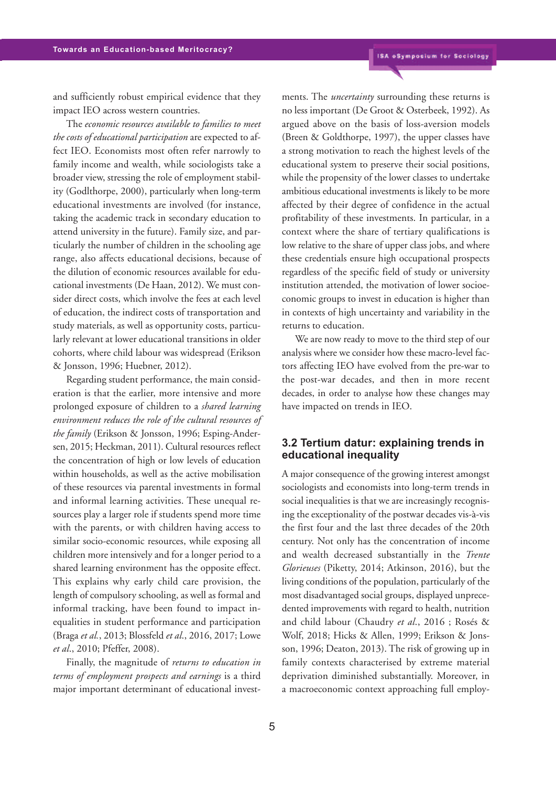and sufficiently robust empirical evidence that they impact IEO across western countries.

The *economic resources available to families to meet the costs of educational participation* are expected to affect IEO. Economists most often refer narrowly to family income and wealth, while sociologists take a broader view, stressing the role of employment stability (Godlthorpe, 2000), particularly when long-term educational investments are involved (for instance, taking the academic track in secondary education to attend university in the future). Family size, and particularly the number of children in the schooling age range, also affects educational decisions, because of the dilution of economic resources available for educational investments (De Haan, 2012). We must consider direct costs, which involve the fees at each level of education, the indirect costs of transportation and study materials, as well as opportunity costs, particularly relevant at lower educational transitions in older cohorts, where child labour was widespread (Erikson & Jonsson, 1996; Huebner, 2012).

Regarding student performance, the main consideration is that the earlier, more intensive and more prolonged exposure of children to a *shared learning environment reduces the role of the cultural resources of the family* (Erikson & Jonsson, 1996; Esping-Andersen, 2015; Heckman, 2011). Cultural resources reflect the concentration of high or low levels of education within households, as well as the active mobilisation of these resources via parental investments in formal and informal learning activities. These unequal resources play a larger role if students spend more time with the parents, or with children having access to similar socio-economic resources, while exposing all children more intensively and for a longer period to a shared learning environment has the opposite effect. This explains why early child care provision, the length of compulsory schooling, as well as formal and informal tracking, have been found to impact inequalities in student performance and participation (Braga *et al.*, 2013; Blossfeld *et al*., 2016, 2017; Lowe *et al*., 2010; Pfeffer, 2008).

Finally, the magnitude of *returns to education in terms of employment prospects and earnings* is a third major important determinant of educational investments. The *uncertainty* surrounding these returns is no less important (De Groot & Osterbeek, 1992). As argued above on the basis of loss-aversion models (Breen & Goldthorpe, 1997), the upper classes have a strong motivation to reach the highest levels of the educational system to preserve their social positions, while the propensity of the lower classes to undertake ambitious educational investments is likely to be more affected by their degree of confidence in the actual profitability of these investments. In particular, in a context where the share of tertiary qualifications is low relative to the share of upper class jobs, and where these credentials ensure high occupational prospects regardless of the specific field of study or university institution attended, the motivation of lower socioeconomic groups to invest in education is higher than in contexts of high uncertainty and variability in the returns to education.

We are now ready to move to the third step of our analysis where we consider how these macro-level factors affecting IEO have evolved from the pre-war to the post-war decades, and then in more recent decades, in order to analyse how these changes may have impacted on trends in IEO.

#### **3.2 Tertium datur: explaining trends in educational inequality**

A major consequence of the growing interest amongst sociologists and economists into long-term trends in social inequalities is that we are increasingly recognising the exceptionality of the postwar decades vis-à-vis the first four and the last three decades of the 20th century. Not only has the concentration of income and wealth decreased substantially in the *Trente Glorieuses* (Piketty, 2014; Atkinson, 2016), but the living conditions of the population, particularly of the most disadvantaged social groups, displayed unprecedented improvements with regard to health, nutrition and child labour (Chaudry *et al*., 2016 ; Rosés & Wolf, 2018; Hicks & Allen, 1999; Erikson & Jonsson, 1996; Deaton, 2013). The risk of growing up in family contexts characterised by extreme material deprivation diminished substantially. Moreover, in a macroeconomic context approaching full employ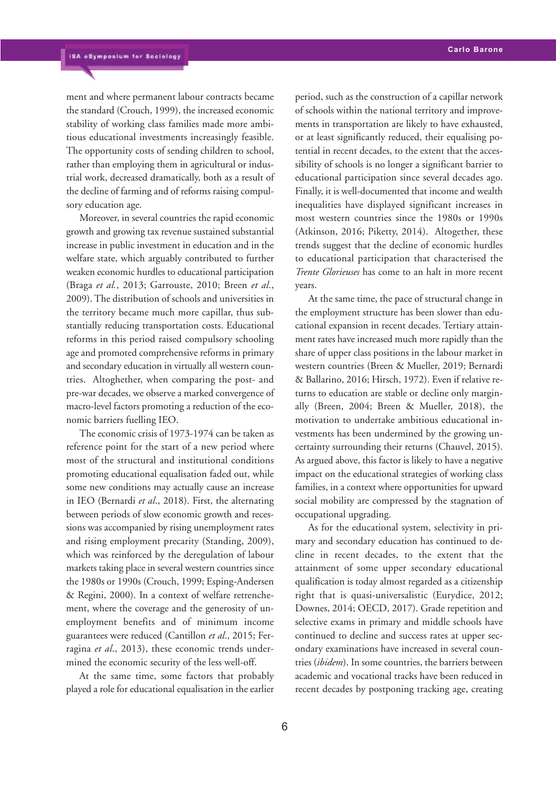ment and where permanent labour contracts became the standard (Crouch, 1999), the increased economic stability of working class families made more ambitious educational investments increasingly feasible. The opportunity costs of sending children to school, rather than employing them in agricultural or industrial work, decreased dramatically, both as a result of the decline of farming and of reforms raising compulsory education age.

Moreover, in several countries the rapid economic growth and growing tax revenue sustained substantial increase in public investment in education and in the welfare state, which arguably contributed to further weaken economic hurdles to educational participation (Braga *et al.*, 2013; Garrouste, 2010; Breen *et al*., 2009). The distribution of schools and universities in the territory became much more capillar, thus substantially reducing transportation costs. Educational reforms in this period raised compulsory schooling age and promoted comprehensive reforms in primary and secondary education in virtually all western countries. Altoghether, when comparing the post- and pre-war decades, we observe a marked convergence of macro-level factors promoting a reduction of the economic barriers fuelling IEO.

The economic crisis of 1973-1974 can be taken as reference point for the start of a new period where most of the structural and institutional conditions promoting educational equalisation faded out, while some new conditions may actually cause an increase in IEO (Bernardi *et al*., 2018). First, the alternating between periods of slow economic growth and recessions was accompanied by rising unemployment rates and rising employment precarity (Standing, 2009), which was reinforced by the deregulation of labour markets taking place in several western countries since the 1980s or 1990s (Crouch, 1999; Esping-Andersen & Regini, 2000). In a context of welfare retrenchement, where the coverage and the generosity of unemployment benefits and of minimum income guarantees were reduced (Cantillon *et al*., 2015; Ferragina *et al*., 2013), these economic trends undermined the economic security of the less well-off.

At the same time, some factors that probably played a role for educational equalisation in the earlier period, such as the construction of a capillar network of schools within the national territory and improvements in transportation are likely to have exhausted, or at least significantly reduced, their equalising potential in recent decades, to the extent that the accessibility of schools is no longer a significant barrier to educational participation since several decades ago. Finally, it is well-documented that income and wealth inequalities have displayed significant increases in most western countries since the 1980s or 1990s (Atkinson, 2016; Piketty, 2014). Altogether, these trends suggest that the decline of economic hurdles to educational participation that characterised the *Trente Glorieuses* has come to an halt in more recent years.

At the same time, the pace of structural change in the employment structure has been slower than educational expansion in recent decades. Tertiary attainment rates have increased much more rapidly than the share of upper class positions in the labour market in western countries (Breen & Mueller, 2019; Bernardi & Ballarino, 2016; Hirsch, 1972). Even if relative returns to education are stable or decline only marginally (Breen, 2004; Breen & Mueller, 2018), the motivation to undertake ambitious educational investments has been undermined by the growing uncertainty surrounding their returns (Chauvel, 2015). As argued above, this factor is likely to have a negative impact on the educational strategies of working class families, in a context where opportunities for upward social mobility are compressed by the stagnation of occupational upgrading.

As for the educational system, selectivity in primary and secondary education has continued to decline in recent decades, to the extent that the attainment of some upper secondary educational qualification is today almost regarded as a citizenship right that is quasi-universalistic (Eurydice, 2012; Downes, 2014; OECD, 2017). Grade repetition and selective exams in primary and middle schools have continued to decline and success rates at upper secondary examinations have increased in several countries (*ibidem*). In some countries, the barriers between academic and vocational tracks have been reduced in recent decades by postponing tracking age, creating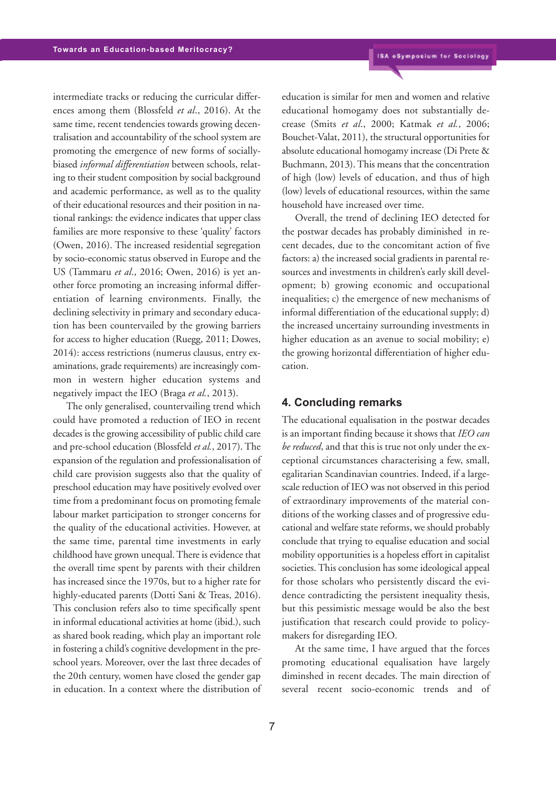intermediate tracks or reducing the curricular differences among them (Blossfeld *et al*., 2016). At the same time, recent tendencies towards growing decentralisation and accountability of the school system are promoting the emergence of new forms of sociallybiased *informal differentiation* between schools, relating to their student composition by social background and academic performance, as well as to the quality of their educational resources and their position in national rankings: the evidence indicates that upper class families are more responsive to these 'quality' factors (Owen, 2016). The increased residential segregation by socio-economic status observed in Europe and the US (Tammaru *et al*., 2016; Owen, 2016) is yet another force promoting an increasing informal differentiation of learning environments. Finally, the declining selectivity in primary and secondary education has been countervailed by the growing barriers for access to higher education (Ruegg, 2011; Dowes, 2014): access restrictions (numerus clausus, entry examinations, grade requirements) are increasingly common in western higher education systems and negatively impact the IEO (Braga *et al.*, 2013).

The only generalised, countervailing trend which could have promoted a reduction of IEO in recent decades is the growing accessibility of public child care and pre-school education (Blossfeld *et al.*, 2017).The expansion of the regulation and professionalisation of child care provision suggests also that the quality of preschool education may have positively evolved over time from a predominant focus on promoting female labour market participation to stronger concerns for the quality of the educational activities. However, at the same time, parental time investments in early childhood have grown unequal.There is evidence that the overall time spent by parents with their children has increased since the 1970s, but to a higher rate for highly-educated parents (Dotti Sani & Treas, 2016). This conclusion refers also to time specifically spent in informal educational activities at home (ibid.), such as shared book reading, which play an important role in fostering a child's cognitive development in the preschool years. Moreover, over the last three decades of the 20th century, women have closed the gender gap in education. In a context where the distribution of education is similar for men and women and relative educational homogamy does not substantially decrease (Smits *et al*., 2000; Katmak *et al.*, 2006; Bouchet-Valat, 2011), the structural opportunities for absolute educational homogamy increase (Di Prete & Buchmann, 2013).This means that the concentration of high (low) levels of education, and thus of high (low) levels of educational resources, within the same household have increased over time.

Overall, the trend of declining IEO detected for the postwar decades has probably diminished in recent decades, due to the concomitant action of five factors: a) the increased social gradients in parental resources and investments in children's early skill development; b) growing economic and occupational inequalities; c) the emergence of new mechanisms of informal differentiation of the educational supply; d) the increased uncertainy surrounding investments in higher education as an avenue to social mobility; e) the growing horizontal differentiation of higher education.

#### **4. Concluding remarks**

The educational equalisation in the postwar decades is an important finding because it shows that *IEO can be reduced*, and that this is true not only under the exceptional circumstances characterising a few, small, egalitarian Scandinavian countries. Indeed, if a largescale reduction of IEO was not observed in this period of extraordinary improvements of the material conditions of the working classes and of progressive educational and welfare state reforms, we should probably conclude that trying to equalise education and social mobility opportunities is a hopeless effort in capitalist societies. This conclusion has some ideological appeal for those scholars who persistently discard the evidence contradicting the persistent inequality thesis, but this pessimistic message would be also the best justification that research could provide to policymakers for disregarding IEO.

At the same time, I have argued that the forces promoting educational equalisation have largely diminshed in recent decades. The main direction of several recent socio-economic trends and of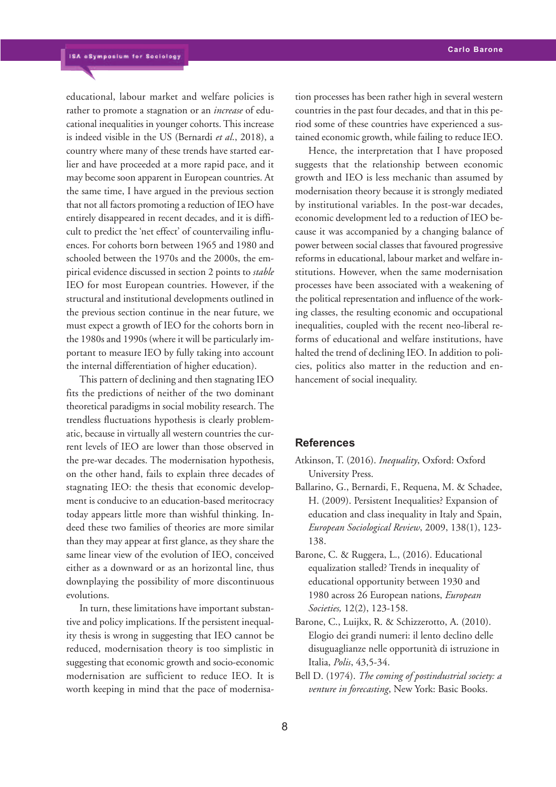educational, labour market and welfare policies is rather to promote a stagnation or an *increase* of educational inequalities in younger cohorts.This increase is indeed visible in the US (Bernardi *et al*., 2018), a country where many of these trends have started earlier and have proceeded at a more rapid pace, and it may become soon apparent in European countries. At the same time, I have argued in the previous section that not all factors promoting a reduction of IEO have entirely disappeared in recent decades, and it is difficult to predict the 'net effect' of countervailing influences. For cohorts born between 1965 and 1980 and schooled between the 1970s and the 2000s, the empirical evidence discussed in section 2 points to *stable* IEO for most European countries. However, if the structural and institutional developments outlined in the previous section continue in the near future, we must expect a growth of IEO for the cohorts born in the 1980s and 1990s (where it will be particularly important to measure IEO by fully taking into account the internal differentiation of higher education).

This pattern of declining and then stagnating IEO fits the predictions of neither of the two dominant theoretical paradigms in social mobility research. The trendless fluctuations hypothesis is clearly problematic, because in virtually all western countries the current levels of IEO are lower than those observed in the pre-war decades. The modernisation hypothesis, on the other hand, fails to explain three decades of stagnating IEO: the thesis that economic development is conducive to an education-based meritocracy today appears little more than wishful thinking. Indeed these two families of theories are more similar than they may appear at first glance, as they share the same linear view of the evolution of IEO, conceived either as a downward or as an horizontal line, thus downplaying the possibility of more discontinuous evolutions.

In turn, these limitations have important substantive and policy implications. If the persistent inequality thesis is wrong in suggesting that IEO cannot be reduced, modernisation theory is too simplistic in suggesting that economic growth and socio-economic modernisation are sufficient to reduce IEO. It is worth keeping in mind that the pace of modernisation processes has been rather high in several western countries in the past four decades, and that in this period some of these countries have experienced a sustained economic growth, while failing to reduce IEO.

Hence, the interpretation that I have proposed suggests that the relationship between economic growth and IEO is less mechanic than assumed by modernisation theory because it is strongly mediated by institutional variables. In the post-war decades, economic development led to a reduction of IEO because it was accompanied by a changing balance of power between social classes that favoured progressive reforms in educational, labour market and welfare institutions. However, when the same modernisation processes have been associated with a weakening of the political representation and influence of the working classes, the resulting economic and occupational inequalities, coupled with the recent neo-liberal reforms of educational and welfare institutions, have halted the trend of declining IEO. In addition to policies, politics also matter in the reduction and enhancement of social inequality.

#### **References**

- Atkinson, T. (2016). *Inequality*, Oxford: Oxford University Press.
- Ballarino, G., Bernardi, F., Requena, M. & Schadee, H. (2009). Persistent Inequalities? Expansion of education and class inequality in Italy and Spain, *European Sociological Review*, 2009, 138(1), 123- 138.
- Barone, C. & Ruggera, L., (2016). Educational equalization stalled? Trends in inequality of educational opportunity between 1930 and 1980 across 26 European nations, *European Societies,* 12(2), 123-158.
- Barone, C., Luijkx, R. & Schizzerotto, A. (2010). Elogio dei grandi numeri: il lento declino delle disuguaglianze nelle opportunità di istruzione in Italia, *Polis*, 43,5-34.
- Bell D. (1974). *The coming of postindustrial society: a venture in forecasting*, New York: Basic Books.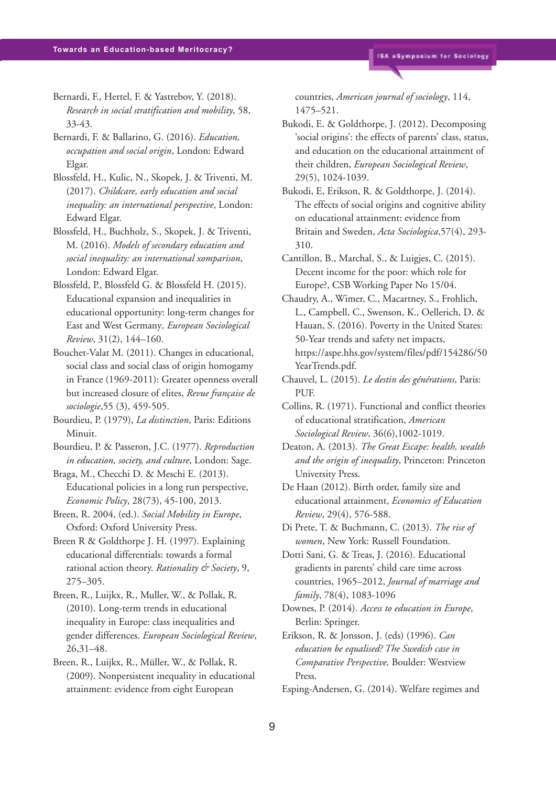- Bernardi, F., Hertel, F. & Yastrebov, Y. (2018). *Research in social stratification and mobility*, 58, 33-43.
- Bernardi, F. & Ballarino, G. (2016). *Education, occupation and social origin*, London: Edward Elgar.
- Blossfeld, H., Kulic, N., Skopek, J. & Triventi, M. (2017). *Childcare, early education and social inequality: an international perspective*, London: Edward Elgar.
- Blossfeld, H., Buchholz, S., Skopek, J. & Triventi, M. (2016). *Models of secondary education and social inequality: an international xomparison*, London: Edward Elgar.
- Blossfeld, P., Blossfeld G. & Blossfeld H. (2015). Educational expansion and inequalities in educational opportunity: long-term changes for East and West Germany*, European Sociological Review*, 31(2), 144–160.
- Bouchet-Valat M. (2011). Changes in educational, social class and social class of origin homogamy in France (1969-2011): Greater openness overall but increased closure of elites, *Revue française de sociologie*,55 (3), 459-505.
- Bourdieu, P. (1979), *La distinction*, Paris: Editions Minuit.
- Bourdieu, P. & Passeron, J.C. (1977). *Reproduction in education, society, and culture*, London: Sage.
- Braga, M., Checchi D. & Meschi E. (2013). Educational policies in a long run perspective, *Economic Policy*, 28(73), 45-100, 2013.
- Breen, R. 2004, (ed.). *Social Mobility in Europe*, Oxford: Oxford University Press.
- Breen R & Goldthorpe J. H. (1997). Explaining educational differentials: towards a formal rational action theory. *Rationality & Society*, 9, 275–305.
- Breen, R., Luijkx, R., Muller, W., & Pollak, R. (2010). Long-term trends in educational inequality in Europe: class inequalities and gender differences. *European Sociological Review*, 26,31–48.
- Breen, R., Luijkx, R., Müller, W., & Pollak, R. (2009). Nonpersistent inequality in educational attainment: evidence from eight European

countries, *American journal of sociology*, 114, 1475–521.

- Bukodi, E. & Goldthorpe, J. (2012). Decomposing 'social origins': the effects of parents' class, status, and education on the educational attainment of their children, *European Sociological Review*, 29(5), 1024-1039.
- Bukodi, E, Erikson, R. & Goldthorpe, J. (2014). The effects of social origins and cognitive ability on educational attainment: evidence from Britain and Sweden, *Acta Sociologica*,57(4), 293- 310.
- Cantillon, B., Marchal, S., & Luigjes, C. (2015). Decent income for the poor: which role for Europe?, CSB Working Paper No 15/04.
- Chaudry, A., Wimer, C., Macartney, S., Frohlich, L., Campbell, C., Swenson, K., Oellerich, D. & Hauan, S. (2016). Poverty in the United States: 50-Year trends and safety net impacts, https://aspe.hhs.gov/system/files/pdf/154286/50 YearTrends.pdf.
- Chauvel, L. (2015). *Le destin des générations*, Paris: PUF.
- Collins, R. (1971). Functional and conflict theories of educational stratification, *American Sociological Review*, 36(6),1002-1019.
- Deaton, A. (2013). *The Great Escape: health, wealth and the origin of inequality*, Princeton: Princeton University Press.
- De Haan (2012). Birth order, family size and educational attainment, *Economics of Education Review*, 29(4), 576-588.
- Di Prete, T. & Buchmann, C. (2013). *The rise of women*, New York: Russell Foundation.
- Dotti Sani, G. & Treas, J. (2016). Educational gradients in parents' child care time across countries, 1965–2012, *Journal of marriage and family*, 78(4), 1083-1096
- Downes, P. (2014). *Access to education in Europe*, Berlin: Springer.
- Erikson, R. & Jonsson, J. (eds) (1996). *Can education be equalised? The Swedish case in Comparative Perspective,* Boulder: Westview Press.
- Esping-Andersen, G. (2014). Welfare regimes and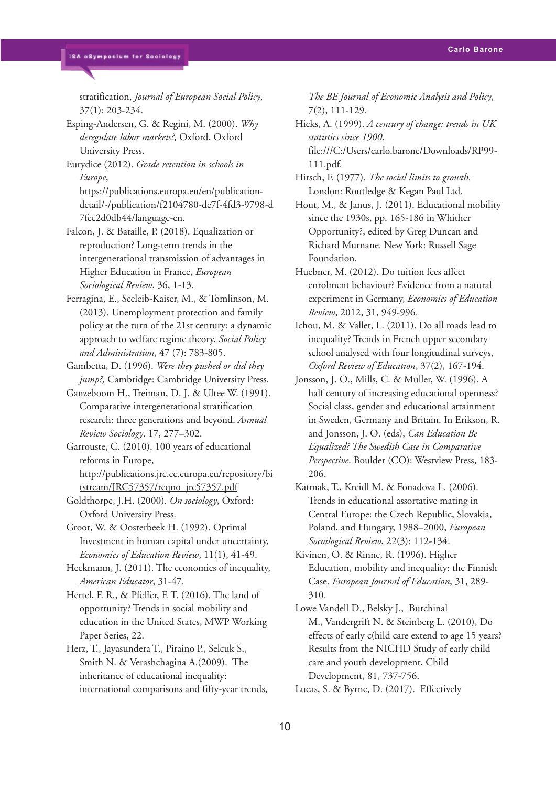stratification, *Journal of European Social Policy*, 37(1): 203-234.

Esping-Andersen, G. & Regini, M. (2000). *Why deregulate labor markets?,* Oxford, Oxford University Press.

Eurydice (2012). *Grade retention in schools in Europe*,

https://publications.europa.eu/en/publicationdetail/-/publication/f2104780-de7f-4fd3-9798-d 7fec2d0db44/language-en.

Falcon, J. & Bataille, P. (2018). Equalization or reproduction? Long-term trends in the intergenerational transmission of advantages in Higher Education in France, *European Sociological Review*, 36, 1-13.

Ferragina, E., Seeleib-Kaiser, M., & Tomlinson, M. (2013). Unemployment protection and family policy at the turn of the 21st century: a dynamic approach to welfare regime theory, *Social Policy and Administration*, 47 (7): 783-805.

Gambetta, D. (1996). *Were they pushed or did they jump?,* Cambridge: Cambridge University Press.

Ganzeboom H., Treiman, D. J. & Ultee W. (1991). Comparative intergenerational stratification research: three generations and beyond. *Annual Review Sociology*. 17, 277–302.

Garrouste, C. (2010). 100 years of educational reforms in Europe, http://publications.jrc.ec.europa.eu/repository/bi tstream/JRC57357/reqno\_jrc57357.pdf

Goldthorpe, J.H. (2000). *On sociology*, Oxford: Oxford University Press.

Groot, W. & Oosterbeek H. (1992). Optimal Investment in human capital under uncertainty, *Economics of Education Review*, 11(1), 41-49.

Heckmann, J. (2011). The economics of inequality, *American Educator*, 31-47.

Hertel, F. R., & Pfeffer, F. T. (2016). The land of opportunity? Trends in social mobility and education in the United States, MWP Working Paper Series, 22.

Herz, T., Jayasundera T., Piraino P., Selcuk S., Smith N. & Verashchagina A.(2009). The inheritance of educational inequality: international comparisons and fifty-year trends,

*The BE Journal of Economic Analysis and Policy*, 7(2), 111-129.

Hicks, A. (1999). *A century of change: trends in UK statistics since 1900*, file:///C:/Users/carlo.barone/Downloads/RP99- 111.pdf.

Hirsch, F. (1977). *The social limits to growth*. London: Routledge & Kegan Paul Ltd.

Hout, M., & Janus, J. (2011). Educational mobility since the 1930s, pp. 165-186 in Whither Opportunity?, edited by Greg Duncan and Richard Murnane. New York: Russell Sage Foundation.

Huebner, M. (2012). Do tuition fees affect enrolment behaviour? Evidence from a natural experiment in Germany, *Economics of Education Review*, 2012, 31, 949-996.

Ichou, M. & Vallet, L. (2011). Do all roads lead to inequality? Trends in French upper secondary school analysed with four longitudinal surveys, *Oxford Review of Education*, 37(2), 167-194.

Jonsson, J. O., Mills, C. & Müller, W. (1996). A half century of increasing educational openness? Social class, gender and educational attainment in Sweden, Germany and Britain. In Erikson, R. and Jonsson, J. O. (eds), *Can Education Be Equalized? The Swedish Case in Comparative Perspective*. Boulder (CO): Westview Press, 183- 206.

Katmak, T., Kreidl M. & Fonadova L. (2006). Trends in educational assortative mating in Central Europe: the Czech Republic, Slovakia, Poland, and Hungary, 1988–2000, *European Socoilogical Review*, 22(3): 112-134.

Kivinen, O. & Rinne, R. (1996). Higher Education, mobility and inequality: the Finnish Case. *European Journal of Education*, 31, 289- 310.

Lowe Vandell D., Belsky J., Burchinal M., Vandergrift N. & Steinberg L. (2010), Do effects of early c(hild care extend to age 15 years? Results from the NICHD Study of early child care and youth development, Child Development, 81, 737-756.

Lucas, S. & Byrne, D. (2017). Effectively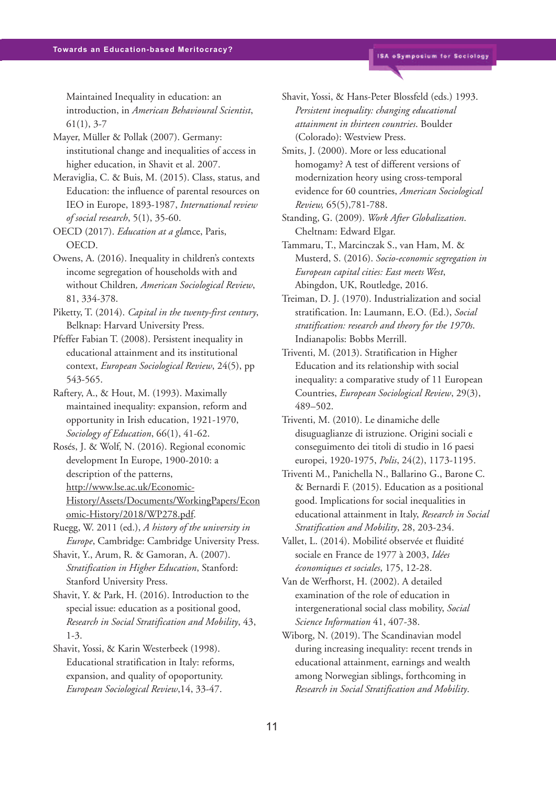Maintained Inequality in education: an introduction, in *American Behavioural Scientist*, 61(1), 3-7

Mayer, Müller & Pollak (2007). Germany: institutional change and inequalities of access in higher education, in Shavit et al. 2007.

Meraviglia, C. & Buis, M. (2015). Class, status, and Education: the influence of parental resources on IEO in Europe, 1893-1987, *International review of social research*, 5(1), 35-60.

OECD (2017). *Education at a gla*nce, Paris, OECD.

Owens, A. (2016). Inequality in children's contexts income segregation of households with and without Children*, American Sociological Review*, 81, 334-378.

Piketty, T. (2014). *Capital in the twenty-first century*, Belknap: Harvard University Press.

Pfeffer Fabian T. (2008). Persistent inequality in educational attainment and its institutional context, *European Sociological Review*, 24(5), pp 543-565.

Raftery, A., & Hout, M. (1993). Maximally maintained inequality: expansion, reform and opportunity in Irish education, 1921-1970, *Sociology of Education*, 66(1), 41-62.

Rosés, J. & Wolf, N. (2016). Regional economic development In Europe, 1900-2010: a description of the patterns, http://www.lse.ac.uk/Economic-History/Assets/Documents/WorkingPapers/Econ omic-History/2018/WP278.pdf.

Ruegg, W. 2011 (ed.), *A history of the university in Europe*, Cambridge: Cambridge University Press.

Shavit, Y., Arum, R. & Gamoran, A. (2007). *Stratification in Higher Education*, Stanford: Stanford University Press.

Shavit, Y. & Park, H. (2016). Introduction to the special issue: education as a positional good, *Research in Social Stratification and Mobility*, 43, 1-3.

Shavit, Yossi, & Karin Westerbeek (1998). Educational stratification in Italy: reforms, expansion, and quality of opoportunity. *European Sociological Review*,14, 33-47.

Shavit, Yossi, & Hans-Peter Blossfeld (eds.) 1993. *Persistent inequality: changing educational attainment in thirteen countries*. Boulder (Colorado): Westview Press.

Smits, J. (2000). More or less educational homogamy? A test of different versions of modernization heory using cross-temporal evidence for 60 countries, *American Sociological Review,* 65(5),781-788.

Standing, G. (2009). *Work After Globalization*. Cheltnam: Edward Elgar.

Tammaru, T., Marcinczak S., van Ham, M. & Musterd, S. (2016). *Socio-economic segregation in European capital cities: East meets West*, Abingdon, UK, Routledge, 2016.

Treiman, D. J. (1970). Industrialization and social stratification. In: Laumann, E.O. (Ed.), *Social stratification: research and theory for the 1970s*. Indianapolis: Bobbs Merrill.

Triventi, M. (2013). Stratification in Higher Education and its relationship with social inequality: a comparative study of 11 European Countries, *European Sociological Review*, 29(3), 489–502.

Triventi, M. (2010). Le dinamiche delle disuguaglianze di istruzione. Origini sociali e conseguimento dei titoli di studio in 16 paesi europei, 1920-1975, *Polis*, 24(2), 1173-1195.

Triventi M., Panichella N., Ballarino G., Barone C. & Bernardi F. (2015). Education as a positional good. Implications for social inequalities in educational attainment in Italy, *Research in Social Stratification and Mobility*, 28, 203-234.

Vallet, L. (2014). Mobilité observée et fluidité sociale en France de 1977 à 2003, *Idées économiques et sociales*, 175, 12-28.

Van de Werfhorst, H. (2002). A detailed examination of the role of education in intergenerational social class mobility, *Social Science Information* 41, 407-38.

Wiborg, N. (2019). The Scandinavian model during increasing inequality: recent trends in educational attainment, earnings and wealth among Norwegian siblings, forthcoming in *Research in Social Stratification and Mobility*.